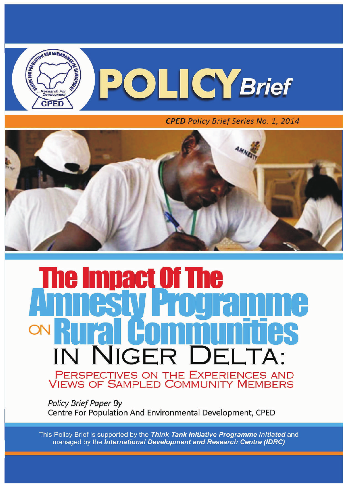

**CPED** Policy Brief Series No. 1, 2014



# $\mathbf{I}$ mac NIGER DEL' PERSPECTIVES ON THE EXPERIENCES AND **VIEWS OF SAMPLED COMMUNITY MEMBERS**

**Policy Brief Paper By** Centre For Population And Environmental Development, CPED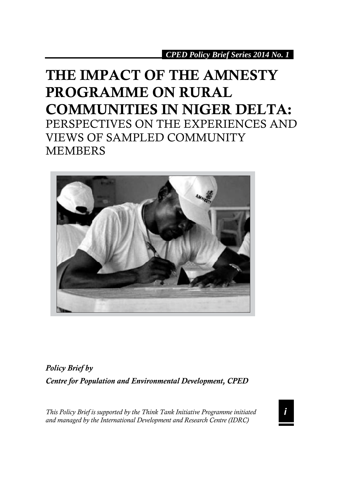## **THE IMPACT OF THE AMNESTY PROGRAMME ON RURAL COMMUNITIES IN NIGER DELTA:**  PERSPECTIVES ON THE EXPERIENCES AND VIEWS OF SAMPLED COMMUNITY MEMBERS



*Policy Brief by Centre for Population and Environmental Development, CPED*

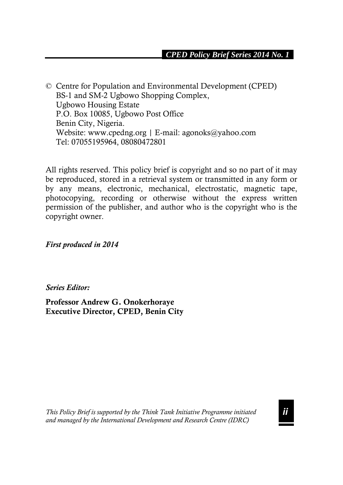© Centre for Population and Environmental Development (CPED) BS-1 and SM-2 Ugbowo Shopping Complex, Ugbowo Housing Estate P.O. Box 10085, Ugbowo Post Office Benin City, Nigeria. Website: www.cpedng.org | E-mail: agonoks@yahoo.com Tel: 07055195964, 08080472801

All rights reserved. This policy brief is copyright and so no part of it may be reproduced, stored in a retrieval system or transmitted in any form or by any means, electronic, mechanical, electrostatic, magnetic tape, photocopying, recording or otherwise without the express written permission of the publisher, and author who is the copyright who is the copyright owner.

*First produced in 2014*

*Series Editor:* 

**Professor Andrew G. Onokerhoraye Executive Director, CPED, Benin City**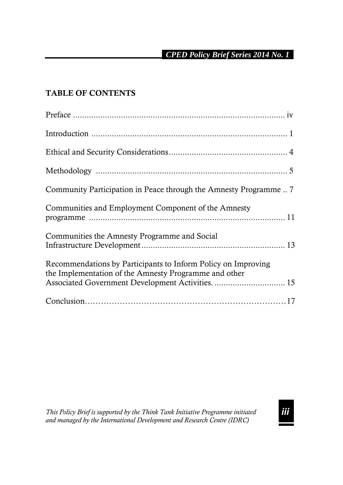### **TABLE OF CONTENTS**

| Community Participation in Peace through the Amnesty Programme                                                                                                              |
|-----------------------------------------------------------------------------------------------------------------------------------------------------------------------------|
| Communities and Employment Component of the Amnesty                                                                                                                         |
| Communities the Amnesty Programme and Social                                                                                                                                |
| Recommendations by Participants to Inform Policy on Improving<br>the Implementation of the Amnesty Programme and other<br>Associated Government Development Activities.  15 |
|                                                                                                                                                                             |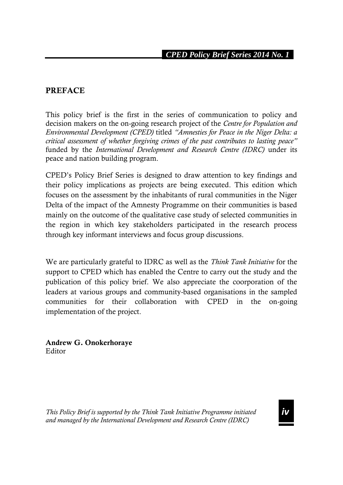#### **PREFACE**

This policy brief is the first in the series of communication to policy and decision makers on the on-going research project of the *Centre for Population and Environmental Development (CPED)* titled *"Amnesties for Peace in the Niger Delta: a critical assessment of whether forgiving crimes of the past contributes to lasting peace"* funded by the *International Development and Research Centre (IDRC)* under its peace and nation building program.

CPED's Policy Brief Series is designed to draw attention to key findings and their policy implications as projects are being executed. This edition which focuses on the assessment by the inhabitants of rural communities in the Niger Delta of the impact of the Amnesty Programme on their communities is based mainly on the outcome of the qualitative case study of selected communities in the region in which key stakeholders participated in the research process through key informant interviews and focus group discussions.

We are particularly grateful to IDRC as well as the *Think Tank Initiative* for the support to CPED which has enabled the Centre to carry out the study and the publication of this policy brief. We also appreciate the coorporation of the leaders at various groups and community-based organisations in the sampled communities for their collaboration with CPED in the on-going implementation of the project.

**Andrew G. Onokerhoraye** Editor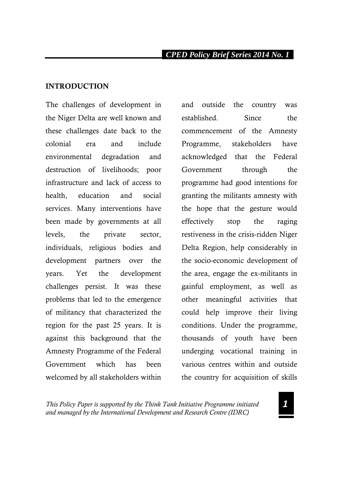#### **INTRODUCTION**

The challenges of development in the Niger Delta are well known and these challenges date back to the colonial era and include environmental degradation and destruction of livelihoods; poor infrastructure and lack of access to health, education and social services. Many interventions have been made by governments at all levels, the private sector, individuals, religious bodies and development partners over the years. Yet the development challenges persist. It was these problems that led to the emergence of militancy that characterized the region for the past 25 years. It is against this background that the Amnesty Programme of the Federal Government which has been welcomed by all stakeholders within

and outside the country was established. Since the commencement of the Amnesty Programme, stakeholders have acknowledged that the Federal Government through the programme had good intentions for granting the militants amnesty with the hope that the gesture would effectively stop the raging restiveness in the crisis-ridden Niger Delta Region, help considerably in the socio-economic development of the area, engage the ex-militants in gainful employment, as well as other meaningful activities that could help improve their living conditions. Under the programme, thousands of youth have been underging vocational training in various centres within and outside the country for acquisition of skills

*This Policy Paper is supported by the Think Tank Initiative Programme initiated and managed by the International Development and Research Centre (IDRC)*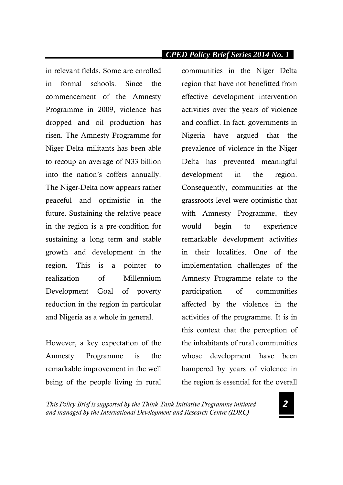in relevant fields. Some are enrolled in formal schools. Since the commencement of the Amnesty Programme in 2009, violence has dropped and oil production has risen. The Amnesty Programme for Niger Delta militants has been able to recoup an average of N33 billion into the nation's coffers annually. The Niger-Delta now appears rather peaceful and optimistic in the future. Sustaining the relative peace in the region is a pre-condition for sustaining a long term and stable growth and development in the region. This is a pointer to realization of Millennium Development Goal of poverty reduction in the region in particular and Nigeria as a whole in general.

However, a key expectation of the Amnesty Programme is the remarkable improvement in the well being of the people living in rural communities in the Niger Delta region that have not benefitted from effective development intervention activities over the years of violence and conflict. In fact, governments in Nigeria have argued that the prevalence of violence in the Niger Delta has prevented meaningful development in the region. Consequently, communities at the grassroots level were optimistic that with Amnesty Programme, they would begin to experience remarkable development activities in their localities. One of the implementation challenges of the Amnesty Programme relate to the participation of communities affected by the violence in the activities of the programme. It is in this context that the perception of the inhabitants of rural communities whose development have been hampered by years of violence in the region is essential for the overall

*This Policy Brief is supported by the Think Tank Initiative Programme initiated and managed by the International Development and Research Centre (IDRC)*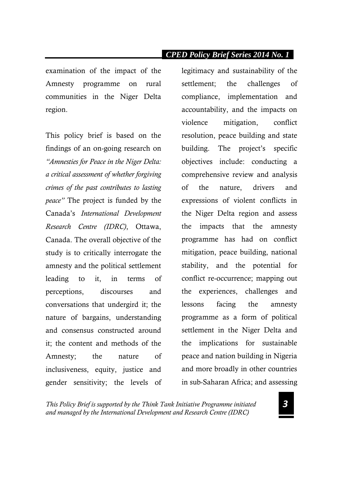examination of the impact of the Amnesty programme on rural communities in the Niger Delta region.

This policy brief is based on the findings of an on-going research on *"Amnesties for Peace in the Niger Delta: a critical assessment of whether forgiving crimes of the past contributes to lasting peace"* The project is funded by the Canada's *International Development Research Centre (IDRC)*, Ottawa, Canada. The overall objective of the study is to critically interrogate the amnesty and the political settlement leading to it, in terms of perceptions, discourses and conversations that undergird it; the nature of bargains, understanding and consensus constructed around it; the content and methods of the Amnesty; the nature of inclusiveness, equity, justice and gender sensitivity; the levels of

legitimacy and sustainability of the settlement; the challenges of compliance, implementation and accountability, and the impacts on violence mitigation, conflict resolution, peace building and state building. The project's specific objectives include: conducting a comprehensive review and analysis of the nature, drivers and expressions of violent conflicts in the Niger Delta region and assess the impacts that the amnesty programme has had on conflict mitigation, peace building, national stability, and the potential for conflict re-occurrence; mapping out the experiences, challenges and lessons facing the amnesty programme as a form of political settlement in the Niger Delta and the implications for sustainable peace and nation building in Nigeria and more broadly in other countries in sub-Saharan Africa; and assessing

*This Policy Brief is supported by the Think Tank Initiative Programme initiated and managed by the International Development and Research Centre (IDRC)*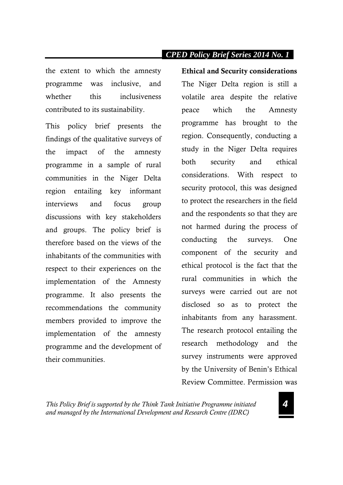the extent to which the amnesty programme was inclusive, and whether this inclusiveness contributed to its sustainability.

This policy brief presents the findings of the qualitative surveys of the impact of the amnesty programme in a sample of rural communities in the Niger Delta region entailing key informant interviews and focus group discussions with key stakeholders and groups. The policy brief is therefore based on the views of the inhabitants of the communities with respect to their experiences on the implementation of the Amnesty programme. It also presents the recommendations the community members provided to improve the implementation of the amnesty programme and the development of their communities.

**Ethical and Security considerations**  The Niger Delta region is still a volatile area despite the relative peace which the Amnesty programme has brought to the region. Consequently, conducting a study in the Niger Delta requires both security and ethical considerations. With respect to security protocol, this was designed to protect the researchers in the field and the respondents so that they are not harmed during the process of conducting the surveys. One component of the security and ethical protocol is the fact that the rural communities in which the surveys were carried out are not disclosed so as to protect the inhabitants from any harassment. The research protocol entailing the research methodology and the survey instruments were approved by the University of Benin's Ethical Review Committee. Permission was

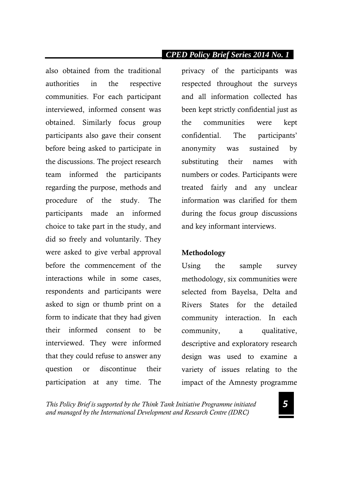also obtained from the traditional authorities in the respective communities. For each participant interviewed, informed consent was obtained. Similarly focus group participants also gave their consent before being asked to participate in the discussions. The project research team informed the participants regarding the purpose, methods and procedure of the study. The participants made an informed choice to take part in the study, and did so freely and voluntarily. They were asked to give verbal approval before the commencement of the interactions while in some cases, respondents and participants were asked to sign or thumb print on a form to indicate that they had given their informed consent to be interviewed. They were informed that they could refuse to answer any question or discontinue their participation at any time. The

privacy of the participants was respected throughout the surveys and all information collected has been kept strictly confidential just as the communities were kept confidential. The participants' anonymity was sustained by substituting their names with numbers or codes. Participants were treated fairly and any unclear information was clarified for them during the focus group discussions and key informant interviews.

#### **Methodology**

Using the sample survey methodology, six communities were selected from Bayelsa, Delta and Rivers States for the detailed community interaction. In each community, a qualitative, descriptive and exploratory research design was used to examine a variety of issues relating to the impact of the Amnesty programme

*This Policy Brief is supported by the Think Tank Initiative Programme initiated and managed by the International Development and Research Centre (IDRC)*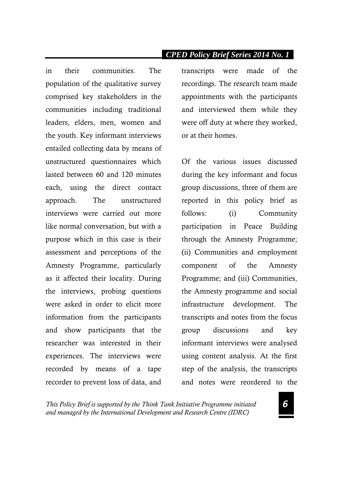in their communities. The population of the qualitative survey comprised key stakeholders in the communities including traditional leaders, elders, men, women and the youth. Key informant interviews entailed collecting data by means of unstructured questionnaires which lasted between 60 and 120 minutes each, using the direct contact approach. The unstructured interviews were carried out more like normal conversation, but with a purpose which in this case is their assessment and perceptions of the Amnesty Programme, particularly as it affected their locality. During the interviews, probing questions were asked in order to elicit more information from the participants and show participants that the researcher was interested in their experiences. The interviews were recorded by means of a tape recorder to prevent loss of data, and

#### *CPED Policy Brief Series 2014 No. 11 .*

transcripts were made of the recordings. The research team made appointments with the participants and interviewed them while they were off duty at where they worked, or at their homes.

Of the various issues discussed during the key informant and focus group discussions, three of them are reported in this policy brief as follows: (i) Community participation in Peace Building through the Amnesty Programme; (ii) Communities and employment component of the Amnesty Programme; and (iii) Communities, the Amnesty programme and social infrastructure development. The transcripts and notes from the focus group discussions and key informant interviews were analysed using content analysis. At the first step of the analysis, the transcripts and notes were reordered to the

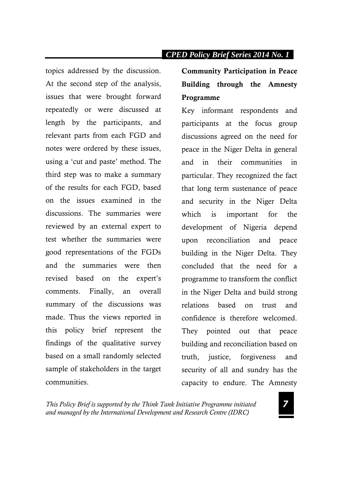topics addressed by the discussion. At the second step of the analysis, issues that were brought forward repeatedly or were discussed at length by the participants, and relevant parts from each FGD and notes were ordered by these issues, using a 'cut and paste' method. The third step was to make a summary of the results for each FGD, based on the issues examined in the discussions. The summaries were reviewed by an external expert to test whether the summaries were good representations of the FGDs and the summaries were then revised based on the expert's comments. Finally, an overall summary of the discussions was made. Thus the views reported in this policy brief represent the findings of the qualitative survey based on a small randomly selected sample of stakeholders in the target communities.

**Community Participation in Peace Building through the Amnesty Programme**

Key informant respondents and participants at the focus group discussions agreed on the need for peace in the Niger Delta in general and in their communities in particular. They recognized the fact that long term sustenance of peace and security in the Niger Delta which is important for the development of Nigeria depend upon reconciliation and peace building in the Niger Delta. They concluded that the need for a programme to transform the conflict in the Niger Delta and build strong relations based on trust and confidence is therefore welcomed. They pointed out that peace building and reconciliation based on truth, justice, forgiveness and security of all and sundry has the capacity to endure. The Amnesty

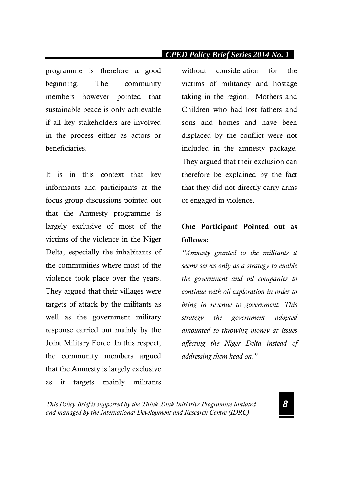programme is therefore a good beginning. The community members however pointed that sustainable peace is only achievable if all key stakeholders are involved in the process either as actors or beneficiaries.

It is in this context that key informants and participants at the focus group discussions pointed out that the Amnesty programme is largely exclusive of most of the victims of the violence in the Niger Delta, especially the inhabitants of the communities where most of the violence took place over the years. They argued that their villages were targets of attack by the militants as well as the government military response carried out mainly by the Joint Military Force. In this respect, the community members argued that the Amnesty is largely exclusive as it targets mainly militants

without consideration for the victims of militancy and hostage taking in the region. Mothers and Children who had lost fathers and sons and homes and have been displaced by the conflict were not included in the amnesty package. They argued that their exclusion can therefore be explained by the fact that they did not directly carry arms or engaged in violence.

### **One Participant Pointed out as follows:**

*"Amnesty granted to the militants it seems serves only as a strategy to enable the government and oil companies to continue with oil exploration in order to bring in revenue to government. This strategy the government adopted amounted to throwing money at issues affecting the Niger Delta instead of addressing them head on."*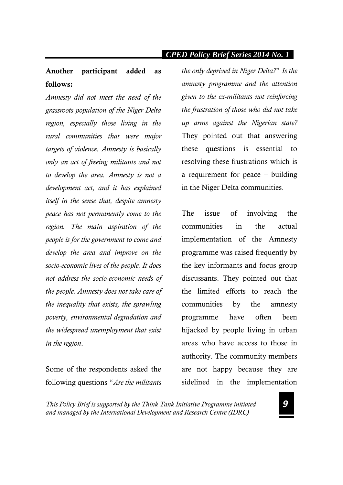### **Another participant added as follows:**

*Amnesty did not meet the need of the grassroots population of the Niger Delta region, especially those living in the rural communities that were major targets of violence. Amnesty is basically only an act of freeing militants and not to develop the area. Amnesty is not a development act, and it has explained itself in the sense that, despite amnesty peace has not permanently come to the region. The main aspiration of the people is for the government to come and develop the area and improve on the socio-economic lives of the people. It does not address the socio-economic needs of the people. Amnesty does not take care of the inequality that exists, the sprawling poverty, environmental degradation and the widespread unemployment that exist in the region*.

Some of the respondents asked the following questions "*Are the militants* 

*the only deprived in Niger Delta?*" *Is the amnesty programme and the attention given to the ex-militants not reinforcing the frustration of those who did not take up arms against the Nigerian state?* They pointed out that answering these questions is essential to resolving these frustrations which is a requirement for peace – building in the Niger Delta communities.

The issue of involving the communities in the actual implementation of the Amnesty programme was raised frequently by the key informants and focus group discussants. They pointed out that the limited efforts to reach the communities by the amnesty programme have often been hijacked by people living in urban areas who have access to those in authority. The community members are not happy because they are sidelined in the implementation

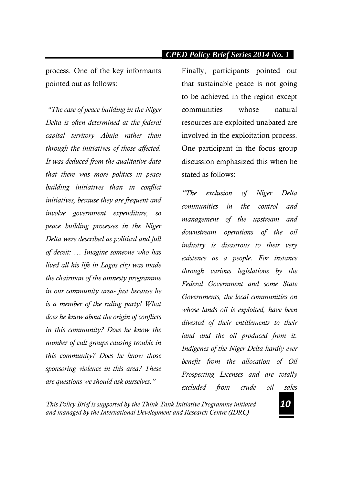process. One of the key informants pointed out as follows:

*"The case of peace building in the Niger Delta is often determined at the federal capital territory Abuja rather than through the initiatives of those affected. It was deduced from the qualitative data that there was more politics in peace building initiatives than in conflict initiatives, because they are frequent and involve government expenditure, so peace building processes in the Niger Delta were described as political and full of deceit: … Imagine someone who has lived all his life in Lagos city was made the chairman of the amnesty programme in our community area- just because he is a member of the ruling party! What does he know about the origin of conflicts in this community? Does he know the number of cult groups causing trouble in this community? Does he know those sponsoring violence in this area? These are questions we should ask ourselves."*

Finally, participants pointed out that sustainable peace is not going to be achieved in the region except communities whose natural resources are exploited unabated are involved in the exploitation process. One participant in the focus group discussion emphasized this when he stated as follows:

*"The exclusion of Niger Delta communities in the control and management of the upstream and downstream operations of the oil industry is disastrous to their very existence as a people. For instance through various legislations by the Federal Government and some State Governments, the local communities on whose lands oil is exploited, have been divested of their entitlements to their land and the oil produced from it. Indigenes of the Niger Delta hardly ever benefit from the allocation of Oil Prospecting Licenses and are totally excluded from crude oil sales* 

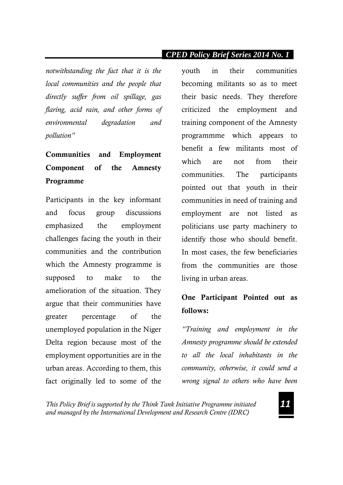*notwithstanding the fact that it is the local communities and the people that directly suffer from oil spillage, gas flaring, acid rain, and other forms of environmental degradation and pollution"*

## **Communities and Employment Component of the Amnesty Programme**

Participants in the key informant and focus group discussions emphasized the employment challenges facing the youth in their communities and the contribution which the Amnesty programme is supposed to make to the amelioration of the situation. They argue that their communities have greater percentage of the unemployed population in the Niger Delta region because most of the employment opportunities are in the urban areas. According to them, this fact originally led to some of the

youth in their communities becoming militants so as to meet their basic needs. They therefore criticized the employment and training component of the Amnesty programmme which appears to benefit a few militants most of which are not from their communities. The participants pointed out that youth in their communities in need of training and employment are not listed as politicians use party machinery to identify those who should benefit. In most cases, the few beneficiaries from the communities are those living in urban areas.

## **One Participant Pointed out as follows:**

*"Training and employment in the Amnesty programme should be extended to all the local inhabitants in the community, otherwise, it could send a wrong signal to others who have been* 

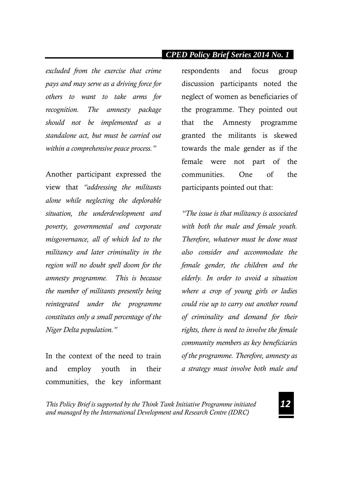*excluded from the exercise that crime pays and may serve as a driving force for others to want to take arms for recognition. The amnesty package should not be implemented as a standalone act, but must be carried out within a comprehensive peace process."* 

Another participant expressed the view that *"addressing the militants alone while neglecting the deplorable situation, the underdevelopment and poverty, governmental and corporate misgovernance, all of which led to the militancy and later criminality in the region will no doubt spell doom for the amnesty programme. This is because the number of militants presently being reintegrated under the programme constitutes only a small percentage of the Niger Delta population."* 

In the context of the need to train and employ youth in their communities, the key informant respondents and focus group discussion participants noted the neglect of women as beneficiaries of the programme. They pointed out that the Amnesty programme granted the militants is skewed towards the male gender as if the female were not part of the communities. One of the participants pointed out that:

*"The issue is that militancy is associated with both the male and female youth. Therefore, whatever must be done must also consider and accommodate the female gender, the children and the elderly. In order to avoid a situation where a crop of young girls or ladies could rise up to carry out another round of criminality and demand for their rights, there is need to involve the female community members as key beneficiaries of the programme. Therefore, amnesty as a strategy must involve both male and* 

*This Policy Brief is supported by the Think Tank Initiative Programme initiated and managed by the International Development and Research Centre (IDRC)*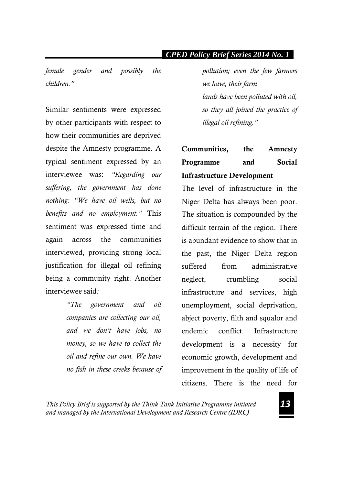*female gender and possibly the children."* 

Similar sentiments were expressed by other participants with respect to how their communities are deprived despite the Amnesty programme. A typical sentiment expressed by an interviewee was: *"Regarding our suffering, the government has done nothing: "We have oil wells, but no benefits and no employment."* This sentiment was expressed time and again across the communities interviewed, providing strong local justification for illegal oil refining being a community right. Another interviewee said*:* 

> *"The government and oil companies are collecting our oil, and we don't have jobs, no money, so we have to collect the oil and refine our own. We have no fish in these creeks because of*

*pollution; even the few farmers we have, their farm lands have been polluted with oil, so they all joined the practice of illegal oil refining."*

## **Communities, the Amnesty Programme and Social Infrastructure Development**

The level of infrastructure in the Niger Delta has always been poor. The situation is compounded by the difficult terrain of the region. There is abundant evidence to show that in the past, the Niger Delta region suffered from administrative neglect, crumbling social infrastructure and services, high unemployment, social deprivation, abject poverty, filth and squalor and endemic conflict. Infrastructure development is a necessity for economic growth, development and improvement in the quality of life of citizens. There is the need for

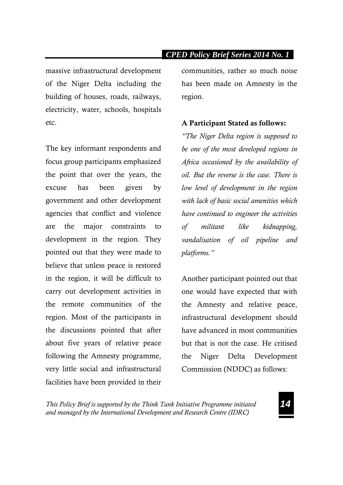massive infrastructural development of the Niger Delta including the building of houses, roads, railways, electricity, water, schools, hospitals etc.

The key informant respondents and focus group participants emphasized the point that over the years, the excuse has been given by government and other development agencies that conflict and violence are the major constraints to development in the region. They pointed out that they were made to believe that unless peace is restored in the region, it will be difficult to carry out development activities in the remote communities of the region. Most of the participants in the discussions pointed that after about five years of relative peace following the Amnesty programme, very little social and infrastructural facilities have been provided in their

communities, rather so much noise has been made on Amnesty in the region.

#### **A Participant Stated as follows:**

*"The Niger Delta region is supposed to be one of the most developed regions in Africa occasioned by the availability of oil. But the reverse is the case. There is low level of development in the region with lack of basic social amenities which have continued to engineer the activities of militant like kidnapping, vandalisation of oil pipeline and platforms."* 

Another participant pointed out that one would have expected that with the Amnesty and relative peace, infrastructural development should have advanced in most communities but that is not the case. He critised the Niger Delta Development Commission (NDDC) as follows:

*This Policy Brief is supported by the Think Tank Initiative Programme initiated and managed by the International Development and Research Centre (IDRC)*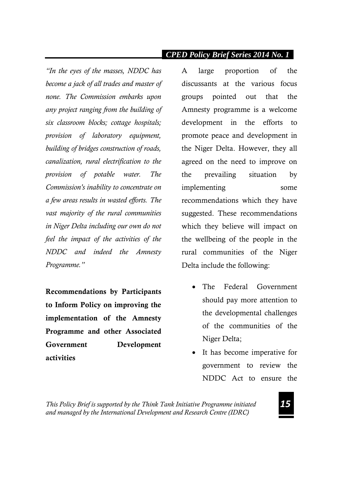*"In the eyes of the masses, NDDC has become a jack of all trades and master of none. The Commission embarks upon any project ranging from the building of six classroom blocks; cottage hospitals; provision of laboratory equipment, building of bridges construction of roads, canalization, rural electrification to the provision of potable water. The Commission's inability to concentrate on a few areas results in wasted efforts. The vast majority of the rural communities in Niger Delta including our own do not feel the impact of the activities of the NDDC and indeed the Amnesty Programme."*

**Recommendations by Participants to Inform Policy on improving the implementation of the Amnesty Programme and other Associated Government Development activities**

A large proportion of the discussants at the various focus groups pointed out that the Amnesty programme is a welcome development in the efforts to promote peace and development in the Niger Delta. However, they all agreed on the need to improve on the prevailing situation by implementing some recommendations which they have suggested. These recommendations which they believe will impact on the wellbeing of the people in the rural communities of the Niger Delta include the following:

- The Federal Government should pay more attention to the developmental challenges of the communities of the Niger Delta;
- It has become imperative for government to review the NDDC Act to ensure the

*This Policy Brief is supported by the Think Tank Initiative Programme initiated and managed by the International Development and Research Centre (IDRC)*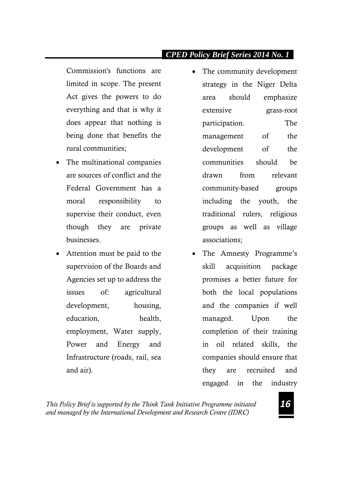Commission's functions are limited in scope. The present Act gives the powers to do everything and that is why it does appear that nothing is being done that benefits the rural communities;

- The multinational companies are sources of conflict and the Federal Government has a moral responsibility to supervise their conduct, even though they are private businesses.
- Attention must be paid to the supervision of the Boards and Agencies set up to address the issues of: agricultural development, housing, education, health, employment, Water supply, Power and Energy and Infrastructure (roads, rail, sea and air).
- The community development strategy in the Niger Delta area should emphasize extensive grass-root participation. The management of the development of the communities should be drawn from relevant community-based groups including the youth, the traditional rulers, religious groups as well as village associations;
- The Amnesty Programme's skill acquisition package promises a better future for both the local populations and the companies if well managed. Upon the completion of their training in oil related skills, the companies should ensure that they are recruited and engaged in the industry

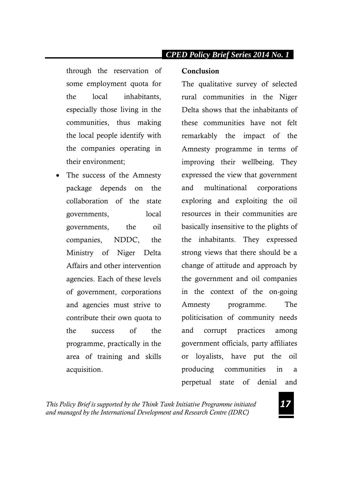through the reservation of some employment quota for the local inhabitants, especially those living in the communities, thus making the local people identify with the companies operating in their environment;

 The success of the Amnesty package depends on the collaboration of the state governments, local governments, the oil companies, NDDC, the Ministry of Niger Delta Affairs and other intervention agencies. Each of these levels of government, corporations and agencies must strive to contribute their own quota to the success of the programme, practically in the area of training and skills acquisition.

## *CPED Policy Brief Series 2014 No. 1*

#### **Conclusion**

The qualitative survey of selected rural communities in the Niger Delta shows that the inhabitants of these communities have not felt remarkably the impact of the Amnesty programme in terms of improving their wellbeing. They expressed the view that government and multinational corporations exploring and exploiting the oil resources in their communities are basically insensitive to the plights of the inhabitants. They expressed strong views that there should be a change of attitude and approach by the government and oil companies in the context of the on-going Amnesty programme. The politicisation of community needs and corrupt practices among government officials, party affiliates or loyalists, have put the oil producing communities in a perpetual state of denial and